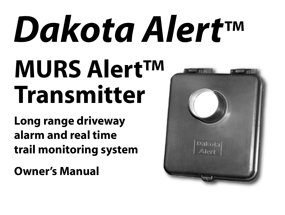# *Dakota Alert™* **MURS Alert™ Transmitter**

**Long range driveway alarm and real time trail monitoring system**

**Owner's Manual**

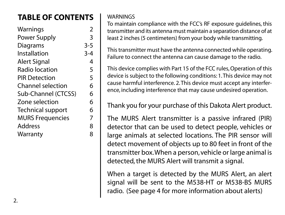# **TABLE OF CONTENTS**

| 2       |
|---------|
| 3       |
| $3 - 5$ |
| $3 - 4$ |
| 4       |
| 5       |
| 5       |
| 6       |
| 6       |
| 6       |
| 6       |
| 7       |
| 8       |
| 8       |
|         |

#### **WARNINGS**

To maintain compliance with the FCC's RF exposure guidelines, this transmitter and its antenna must maintain a separation distance of at least 2 inches (5 centimeters) from your body while transmitting.

This transmitter must have the antenna connected while operating. Failure to connect the antenna can cause damage to the radio.

This device complies with Part 15 of the FCC rules, Operation of this device is subject to the following conditions: 1. This device may not cause harmful interference. 2. This device must accept any interference, including interference that may cause undesired operation.

Thank you for your purchase of this Dakota Alert product.

The MURS Alert transmitter is a passive infrared (PIR) detector that can be used to detect people, vehicles or large animals at selected locations. The PIR sensor will detect movement of objects up to 80 feet in front of the transmitter box. When a person, vehicle or large animal is detected, the MURS Alert will transmit a signal.

When a target is detected by the MURS Alert, an alert signal will be sent to the M538-HT or M538-BS MURS radio. (See page 4 for more information about alerts)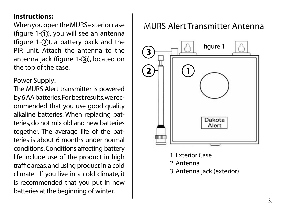#### **Instructions:**

When you open the MURS exterior case (figure  $1-(1)$ ), you will see an antenna (figure  $1-(2)$ ), a battery pack and the PIR unit. Attach the antenna to the antenna jack (figure 1-3), located on the top of the case.

Power Supply:

The MURS Alert transmitter is powered by 6 AA batteries. For best results, we recommended that you use good quality alkaline batteries. When replacing batteries, do not mix old and new batteries together. The average life of the batteries is about 6 months under normal conditions. Conditions affecting battery life include use of the product in high traffic areas, and using product in a cold climate. If you live in a cold climate, it is recommended that you put in new batteries at the beginning of winter.

## MURS Alert Transmitter Antenna



1. Exterior Case 2. Antenna 3. Antenna jack (exterior)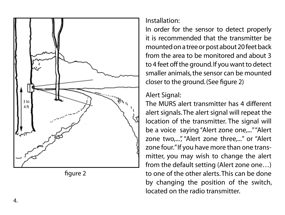



Installation:

In order for the sensor to detect properly it is recommended that the transmitter be mounted on a tree or post about 20 feet back from the area to be monitored and about 3 to 4 feet off the ground. If you want to detect smaller animals, the sensor can be mounted closer to the ground. (See figure 2)

#### Alert Signal:

The MURS alert transmitter has 4 different alert signals. The alert signal will repeat the location of the transmitter. The signal will be a voice saying "Alert zone one,..." "Alert zone two,...", "Alert zone three,..." or "Alert zone four." If you have more than one transmitter, you may wish to change the alert from the default setting (Alert zone one…) to one of the other alerts. This can be done by changing the position of the switch, located on the radio transmitter.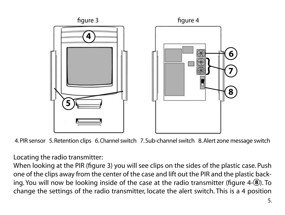

4. PIR sensor 5. Retention clips 6. Channel switch 7. Sub-channel switch 8. Alert zone message switch

Locating the radio transmitter:

When looking at the PIR (figure 3) you will see clips on the sides of the plastic case. Push one of the clips away from the center of the case and lift out the PIR and the plastic backing. You will now be looking inside of the case at the radio transmitter (figure 4-8). To change the settings of the radio transmitter, locate the alert switch. This is a 4 position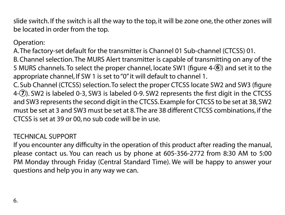slide switch. If the switch is all the way to the top, it will be zone one, the other zones will be located in order from the top.

#### Operation:

A. The factory-set default for the transmitter is Channel 01 Sub-channel (CTCSS) 01.

B. Channel selection. The MURS Alert transmitter is capable of transmitting on any of the 5 MURS channels. To select the proper channel, locate SW1 (figure 4-6) and set it to the appropriate channel, If SW 1 is set to "0" it will default to channel 1.

C. Sub Channel (CTCSS) selection. To select the proper CTCSS locate SW2 and SW3 (figure 4-(7). SW2 is labeled 0-3, SW3 is labeled 0-9. SW2 represents the first digit in the CTCSS and SW3 represents the second digit in the CTCSS. Example for CTCSS to be set at 38, SW2 must be set at 3 and SW3 must be set at 8. The are 38 different CTCSS combinations, if the CTCSS is set at 39 or 00, no sub code will be in use.

#### TECHNICAL SUPPORT

If you encounter any difficulty in the operation of this product after reading the manual, please contact us. You can reach us by phone at 605-356-2772 from 8:30 AM to 5:00 PM Monday through Friday (Central Standard Time). We will be happy to answer your questions and help you in any way we can.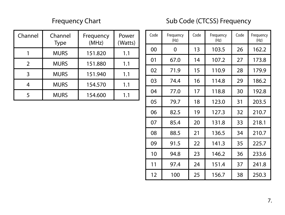### Frequency Chart Sub Code (CTCSS) Frequency

| Channel | Channel<br>Type | Frequency<br>(MHz) | Power<br>(Watts) |
|---------|-----------------|--------------------|------------------|
|         | <b>MURS</b>     | 151.820            | 1.1              |
| ς       | <b>MURS</b>     | 151.880            | 1.1              |
| 3       | <b>MURS</b>     | 151.940            | 1.1              |
|         | <b>MURS</b>     | 154.570            | 1.1              |
| 5       | <b>MURS</b>     | 154.600            | 11               |

| Code | Frequency<br>(Hz) | Code | Frequency<br>(Hz) | Code | Frequency<br>(Hz) |
|------|-------------------|------|-------------------|------|-------------------|
| 00   | 0                 | 13   | 103.5             | 26   | 162.2             |
| 01   | 67.0              | 14   | 107.2             | 27   | 173.8             |
| 02   | 71.9              | 15   | 110.9             | 28   | 179.9             |
| 03   | 74.4              | 16   | 114.8             | 29   | 186.2             |
| 04   | 77.0              | 17   | 118.8             | 30   | 192.8             |
| 05   | 79.7              | 18   | 123.0             | 31   | 203.5             |
| 06   | 82.5              | 19   | 127.3             | 32   | 210.7             |
| 07   | 85.4              | 20   | 131.8             | 33   | 218.1             |
| 08   | 88.5              | 21   | 136.5             | 34   | 210.7             |
| 09   | 91.5              | 22   | 141.3             | 35   | 225.7             |
| 10   | 94.8              | 23   | 146.2             | 36   | 233.6             |
| 11   | 97.4              | 24   | 151.4             | 37   | 241.8             |
| 12   | 100               | 25   | 156.7             | 38   | 250.3             |